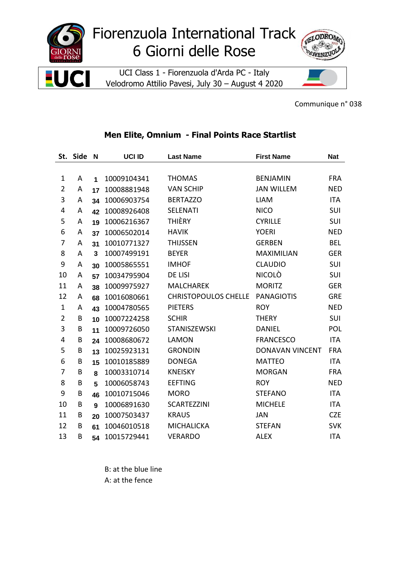

Communique n° 038

## **Men Elite, Omnium - Final Points Race Startlist**

|                | St. Side | N              | UCI ID      | <b>Last Name</b>            | <b>First Name</b>      | <b>Nat</b> |
|----------------|----------|----------------|-------------|-----------------------------|------------------------|------------|
|                |          |                |             |                             |                        |            |
| 1              | A        | $\overline{1}$ | 10009104341 | <b>THOMAS</b>               | <b>BENJAMIN</b>        | <b>FRA</b> |
| 2              | A        | 17             | 10008881948 | <b>VAN SCHIP</b>            | <b>JAN WILLEM</b>      | <b>NED</b> |
| 3              | A        | 34             | 10006903754 | <b>BERTAZZO</b>             | <b>LIAM</b>            | <b>ITA</b> |
| 4              | Α        | 42             | 10008926408 | <b>SELENATI</b>             | <b>NICO</b>            | SUI        |
| 5              | Α        | 19             | 10006216367 | <b>THIÈRY</b>               | <b>CYRILLE</b>         | SUI        |
| 6              | Α        | 37             | 10006502014 | <b>HAVIK</b>                | <b>YOERI</b>           | <b>NED</b> |
| 7              | А        | 31             | 10010771327 | <b>THIJSSEN</b>             | <b>GERBEN</b>          | <b>BEL</b> |
| 8              | Α        | 3              | 10007499191 | <b>BEYER</b>                | <b>MAXIMILIAN</b>      | <b>GER</b> |
| 9              | A        | 30             | 10005865551 | <b>IMHOF</b>                | <b>CLAUDIO</b>         | SUI        |
| 10             | А        | 57             | 10034795904 | DE LISI                     | <b>NICOLÒ</b>          | SUI        |
| 11             | A        | 38             | 10009975927 | <b>MALCHAREK</b>            | <b>MORITZ</b>          | <b>GER</b> |
| 12             | Α        | 68             | 10016080661 | <b>CHRISTOPOULOS CHELLE</b> | <b>PANAGIOTIS</b>      | <b>GRE</b> |
| 1              | А        | 43             | 10004780565 | <b>PIETERS</b>              | <b>ROY</b>             | <b>NED</b> |
| $\overline{2}$ | B        | 10             | 10007224258 | <b>SCHIR</b>                | <b>THERY</b>           | SUI        |
| 3              | B        | 11             | 10009726050 | STANISZEWSKI                | <b>DANIEL</b>          | POL        |
| 4              | B        | 24             | 10008680672 | <b>LAMON</b>                | <b>FRANCESCO</b>       | <b>ITA</b> |
| 5              | B        | 13             | 10025923131 | <b>GRONDIN</b>              | <b>DONAVAN VINCENT</b> | <b>FRA</b> |
| 6              | B        | 15             | 10010185889 | <b>DONEGA</b>               | <b>MATTEO</b>          | <b>ITA</b> |
| 7              | B        | 8              | 10003310714 | <b>KNEISKY</b>              | <b>MORGAN</b>          | <b>FRA</b> |
| 8              | B        | 5              | 10006058743 | <b>EEFTING</b>              | <b>ROY</b>             | <b>NED</b> |
| 9              | B        | 46             | 10010715046 | <b>MORO</b>                 | <b>STEFANO</b>         | <b>ITA</b> |
| 10             | B        | 9              | 10006891630 | <b>SCARTEZZINI</b>          | <b>MICHELE</b>         | <b>ITA</b> |
| 11             | B        | 20             | 10007503437 | <b>KRAUS</b>                | <b>JAN</b>             | <b>CZE</b> |
| 12             | B        | 61             | 10046010518 | <b>MICHALICKA</b>           | <b>STEFAN</b>          | <b>SVK</b> |
| 13             | B        | 54             | 10015729441 | <b>VERARDO</b>              | <b>ALEX</b>            | <b>ITA</b> |

B: at the blue line A: at the fence